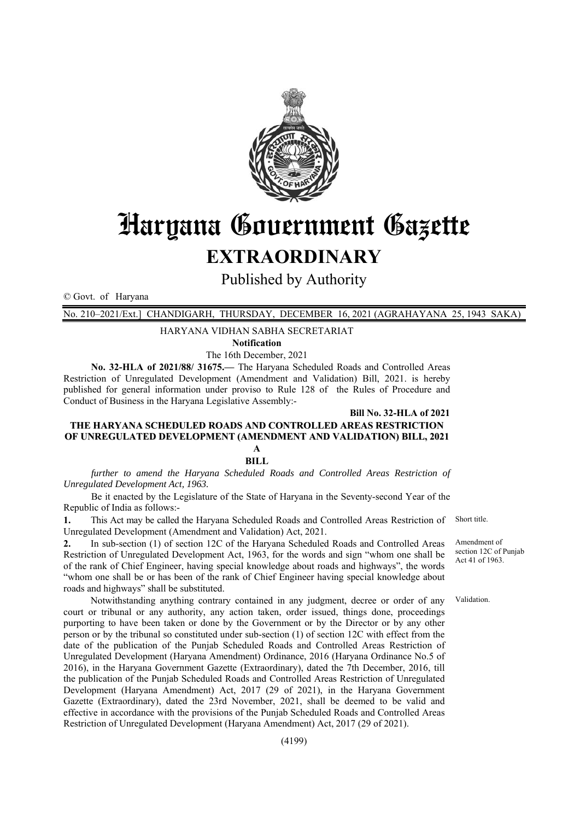

# Haryana Government Gazette

## **EXTRAORDINARY**

Published by Authority

© Govt. of Haryana

No. 210–2021/Ext.] CHANDIGARH, THURSDAY, DECEMBER 16, 2021 (AGRAHAYANA 25, 1943 SAKA)

HARYANA VIDHAN SABHA SECRETARIAT

**Notification** 

The 16th December, 2021

**No. 32-HLA of 2021/88/ 31675.—** The Haryana Scheduled Roads and Controlled Areas Restriction of Unregulated Development (Amendment and Validation) Bill, 2021. is hereby published for general information under proviso to Rule 128 of the Rules of Procedure and Conduct of Business in the Haryana Legislative Assembly:-

**Bill No. 32-HLA of 2021** 

#### **THE HARYANA SCHEDULED ROADS AND CONTROLLED AREAS RESTRICTION OF UNREGULATED DEVELOPMENT (AMENDMENT AND VALIDATION) BILL, 2021 A**

**BILL** 

*further to amend the Haryana Scheduled Roads and Controlled Areas Restriction of Unregulated Development Act, 1963.* 

Be it enacted by the Legislature of the State of Haryana in the Seventy-second Year of the Republic of India as follows:-

**1.** This Act may be called the Haryana Scheduled Roads and Controlled Areas Restriction of Unregulated Development (Amendment and Validation) Act, 2021.

**2.** In sub-section (1) of section 12C of the Haryana Scheduled Roads and Controlled Areas Restriction of Unregulated Development Act, 1963, for the words and sign "whom one shall be of the rank of Chief Engineer, having special knowledge about roads and highways", the words "whom one shall be or has been of the rank of Chief Engineer having special knowledge about roads and highways" shall be substituted.

 Notwithstanding anything contrary contained in any judgment, decree or order of any court or tribunal or any authority, any action taken, order issued, things done, proceedings purporting to have been taken or done by the Government or by the Director or by any other person or by the tribunal so constituted under sub-section (1) of section 12C with effect from the date of the publication of the Punjab Scheduled Roads and Controlled Areas Restriction of Unregulated Development (Haryana Amendment) Ordinance, 2016 (Haryana Ordinance No.5 of 2016), in the Haryana Government Gazette (Extraordinary), dated the 7th December, 2016, till the publication of the Punjab Scheduled Roads and Controlled Areas Restriction of Unregulated Development (Haryana Amendment) Act, 2017 (29 of 2021), in the Haryana Government Gazette (Extraordinary), dated the 23rd November, 2021, shall be deemed to be valid and effective in accordance with the provisions of the Punjab Scheduled Roads and Controlled Areas Restriction of Unregulated Development (Haryana Amendment) Act, 2017 (29 of 2021).

Short title.

Amendment of section 12C of Punjab Act 41 of 1963.

Validation.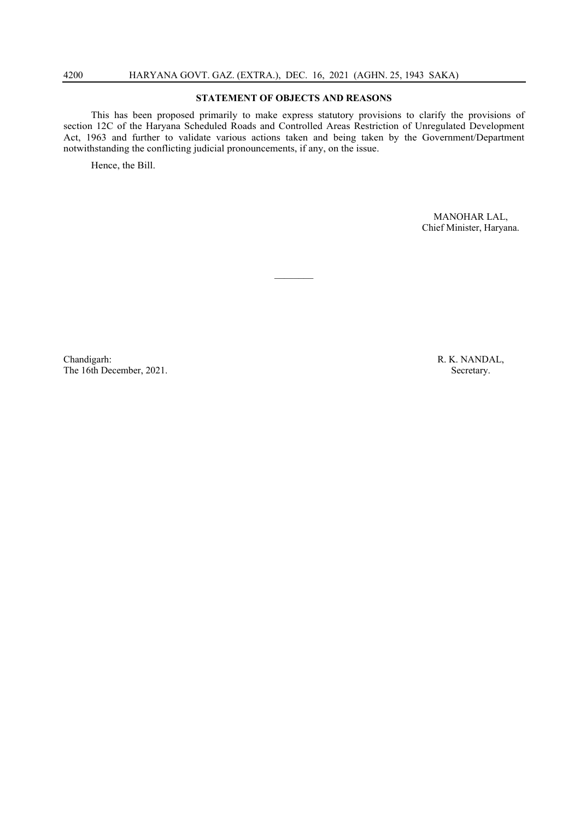#### **STATEMENT OF OBJECTS AND REASONS**

This has been proposed primarily to make express statutory provisions to clarify the provisions of section 12C of the Haryana Scheduled Roads and Controlled Areas Restriction of Unregulated Development Act, 1963 and further to validate various actions taken and being taken by the Government/Department notwithstanding the conflicting judicial pronouncements, if any, on the issue.

 $\frac{1}{2}$ 

Hence, the Bill.

MANOHAR LAL, Chief Minister, Haryana.

Chandigarh: R. K. NANDAL, The 16th December, 2021. Secretary.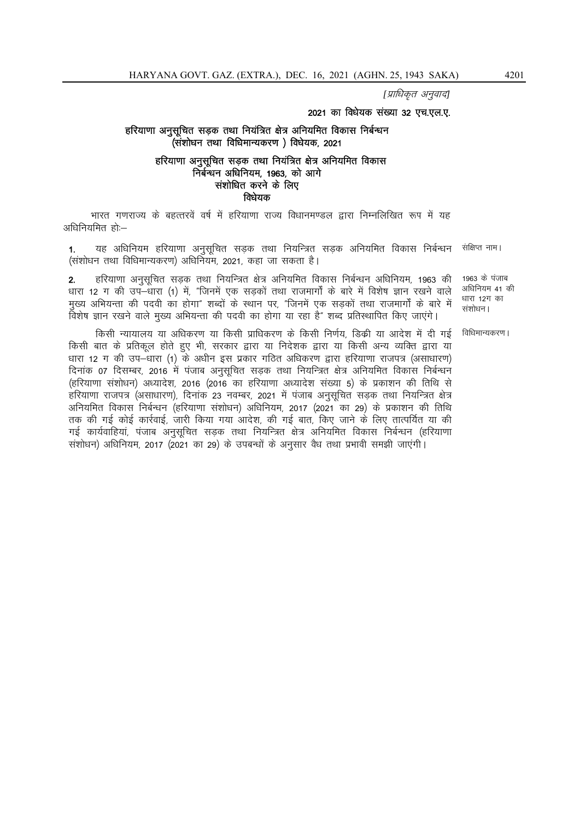[प्राधिकृत अनुवाद]

#### 2021 का विधेयक संख्या 32 एच.एल.ए.

#### हरियाणा अनुसूचित सड़क तथा नियंत्रित क्षेत्र अनियमित विकास निर्बन्धन (संशोधन तथा विधिमान्यकरण) विधेयक, 2021

#### हरियाणा अनुसुचित सडक तथा नियंत्रित क्षेत्र अनियमित विकास निर्बन्धन अधिनियम, 1963, को आगे संशोधित करने के लिए विधेयक

भारत गणराज्य के बहत्तरवें वर्ष में हरियाणा राज्य विधानमण्डल द्वारा निम्नलिखित रूप में यह अधिनियमित हो:--

यह अधिनियम हरियाणा अनुसूचित सड़क तथा नियन्त्रित सड़क अनियमित विकास निर्बन्धन संक्षिप्त नाम।  $\mathbf{1}$ (संशोधन तथा विधिमान्यकरण) अधिनियम, 2021, कहा जा सकता है।

हरियाणा अनुसुचित सडक तथा नियन्त्रित क्षेत्र अनियमित विकास निर्बन्धन अधिनियम, 1963 की 1963 के पंजाब  $2<sub>1</sub>$ अधिनियम 41 की धारा 12 ग की उप-धारा (1) में, "जिनमें एक सड़कों तथा राजमार्गों के बारे में विशेष ज्ञान रखने वाले धारा 12ग का मुख्य अभियन्ता की पदवी का होगा" शब्दों के स्थान पर, "जिनमें एक सड़कों तथा राजमार्गों के बारे में संशोधन। विशेष ज्ञान रखने वाले मुख्य अभियन्ता की पदवी का होगा या रहा है" शब्द प्रतिस्थापित किए जाएंगे।

विधिमान्यकरण ।

किसी न्यायालय या अधिकरण या किसी प्राधिकरण के किसी निर्णय, डिक्री या आदेश में दी गई किसी बात के प्रतिकूल होते हुए भी, सरकार द्वारा या निदेशक द्वारा या किसी अन्य व्यक्ति द्वारा या धारा 12 ग की उप—धारा (1) के अधीन इस प्रकार गठित अधिकरण द्वारा हरियाणा राजपत्र (असाधारण) दिनांक 07 दिसम्बर, 2016 में पंजाब अनुसूचित सड़क तथा नियन्त्रित क्षेत्र अनियमित विकास निर्बन्धन (हरियाणा सशोधन) अध्यादेश, 2016 (2016 का हरियाणा अध्यादेश संख्या 5) के प्रकाशन की तिथि से हरियाणा राजपत्र (असाधारण), दिनांक 23 नवम्बर, 2021 में पंजाब अनुसूचित सडक तथा नियन्त्रित क्षेत्र अनियमित विकास निर्बन्धन (हरियाणा संशोधन) अधिनियम, 2017 (2021 का 29) के प्रकाशन की तिथि तक की गई कोई कार्रवाई, जारी किया गया आदेश, की गई बात, किए जाने के लिए तात्पर्यित या की गई कार्यवाहियां, पंजाब अनुसुचित सडक तथा नियन्त्रित क्षेत्र अनियमित विकास निर्बन्धन (हरियाणा संशोधन) अधिनियम, 2017 (2021 का 29) के उपबन्धों के अनसार वैध तथा प्रभावी समझी जाएंगी।